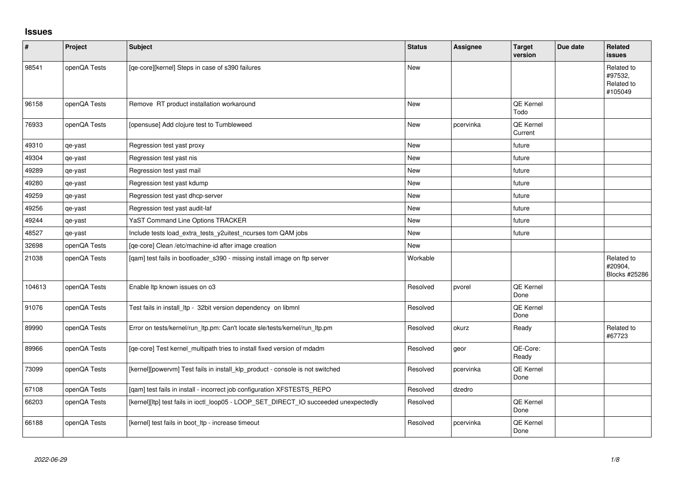## **Issues**

| $\vert$ # | Project      | <b>Subject</b>                                                                       | <b>Status</b> | <b>Assignee</b> | <b>Target</b><br>version    | Due date | <b>Related</b><br><b>issues</b>                |
|-----------|--------------|--------------------------------------------------------------------------------------|---------------|-----------------|-----------------------------|----------|------------------------------------------------|
| 98541     | openQA Tests | [qe-core][kernel] Steps in case of s390 failures                                     | New           |                 |                             |          | Related to<br>#97532,<br>Related to<br>#105049 |
| 96158     | openQA Tests | Remove RT product installation workaround                                            | New           |                 | QE Kernel<br>Todo           |          |                                                |
| 76933     | openQA Tests | [opensuse] Add clojure test to Tumbleweed                                            | <b>New</b>    | pcervinka       | <b>QE Kernel</b><br>Current |          |                                                |
| 49310     | qe-yast      | Regression test yast proxy                                                           | <b>New</b>    |                 | future                      |          |                                                |
| 49304     | qe-yast      | Regression test yast nis                                                             | <b>New</b>    |                 | future                      |          |                                                |
| 49289     | qe-yast      | Regression test yast mail                                                            | <b>New</b>    |                 | future                      |          |                                                |
| 49280     | qe-yast      | Regression test yast kdump                                                           | <b>New</b>    |                 | future                      |          |                                                |
| 49259     | qe-yast      | Regression test yast dhcp-server                                                     | New           |                 | future                      |          |                                                |
| 49256     | qe-yast      | Regression test yast audit-laf                                                       | <b>New</b>    |                 | future                      |          |                                                |
| 49244     | qe-yast      | YaST Command Line Options TRACKER                                                    | New           |                 | future                      |          |                                                |
| 48527     | qe-yast      | Include tests load_extra_tests_y2uitest_ncurses tom QAM jobs                         | <b>New</b>    |                 | future                      |          |                                                |
| 32698     | openQA Tests | [qe-core] Clean /etc/machine-id after image creation                                 | New           |                 |                             |          |                                                |
| 21038     | openQA Tests | [qam] test fails in bootloader_s390 - missing install image on ftp server            | Workable      |                 |                             |          | Related to<br>#20904.<br>Blocks #25286         |
| 104613    | openQA Tests | Enable Itp known issues on o3                                                        | Resolved      | pvorel          | QE Kernel<br>Done           |          |                                                |
| 91076     | openQA Tests | Test fails in install_ltp - 32bit version dependency on libmnl                       | Resolved      |                 | QE Kernel<br>Done           |          |                                                |
| 89990     | openQA Tests | Error on tests/kernel/run_ltp.pm: Can't locate sle/tests/kernel/run_ltp.pm           | Resolved      | okurz           | Ready                       |          | Related to<br>#67723                           |
| 89966     | openQA Tests | [qe-core] Test kernel_multipath tries to install fixed version of mdadm              | Resolved      | geor            | QE-Core:<br>Ready           |          |                                                |
| 73099     | openQA Tests | [kernel][powervm] Test fails in install_klp_product - console is not switched        | Resolved      | pcervinka       | QE Kernel<br>Done           |          |                                                |
| 67108     | openQA Tests | [qam] test fails in install - incorrect job configuration XFSTESTS_REPO              | Resolved      | dzedro          |                             |          |                                                |
| 66203     | openQA Tests | [kernel][ltp] test fails in ioctl_loop05 - LOOP_SET_DIRECT_IO succeeded unexpectedly | Resolved      |                 | QE Kernel<br>Done           |          |                                                |
| 66188     | openQA Tests | [kernel] test fails in boot_ltp - increase timeout                                   | Resolved      | pcervinka       | QE Kernel<br>Done           |          |                                                |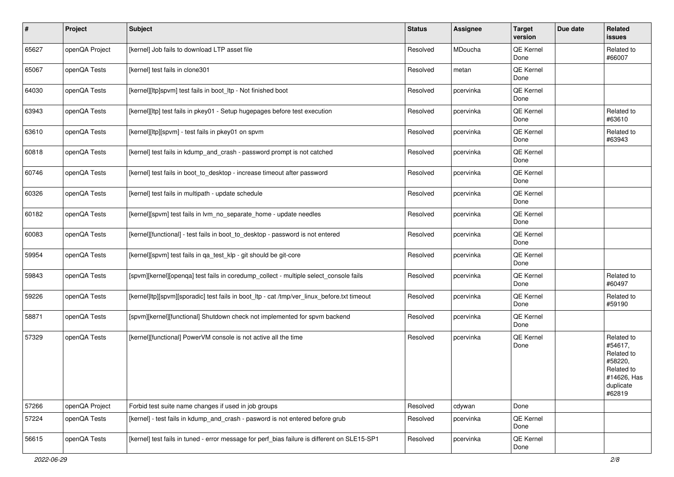| $\sharp$ | Project        | <b>Subject</b>                                                                               | <b>Status</b> | Assignee  | <b>Target</b><br>version | Due date | Related<br>issues                                                                                  |
|----------|----------------|----------------------------------------------------------------------------------------------|---------------|-----------|--------------------------|----------|----------------------------------------------------------------------------------------------------|
| 65627    | openQA Project | [kernel] Job fails to download LTP asset file                                                | Resolved      | MDoucha   | QE Kernel<br>Done        |          | Related to<br>#66007                                                                               |
| 65067    | openQA Tests   | [kernel] test fails in clone301                                                              | Resolved      | metan     | QE Kernel<br>Done        |          |                                                                                                    |
| 64030    | openQA Tests   | [kernel][ltp]spvm] test fails in boot_ltp - Not finished boot                                | Resolved      | pcervinka | QE Kernel<br>Done        |          |                                                                                                    |
| 63943    | openQA Tests   | [kernel][ltp] test fails in pkey01 - Setup hugepages before test execution                   | Resolved      | pcervinka | QE Kernel<br>Done        |          | Related to<br>#63610                                                                               |
| 63610    | openQA Tests   | [kernel][ltp][spvm] - test fails in pkey01 on spvm                                           | Resolved      | pcervinka | QE Kernel<br>Done        |          | Related to<br>#63943                                                                               |
| 60818    | openQA Tests   | [kernel] test fails in kdump_and_crash - password prompt is not catched                      | Resolved      | pcervinka | QE Kernel<br>Done        |          |                                                                                                    |
| 60746    | openQA Tests   | [kernel] test fails in boot to desktop - increase timeout after password                     | Resolved      | pcervinka | QE Kernel<br>Done        |          |                                                                                                    |
| 60326    | openQA Tests   | [kernel] test fails in multipath - update schedule                                           | Resolved      | pcervinka | QE Kernel<br>Done        |          |                                                                                                    |
| 60182    | openQA Tests   | [kernel][spvm] test fails in lym no separate home - update needles                           | Resolved      | pcervinka | QE Kernel<br>Done        |          |                                                                                                    |
| 60083    | openQA Tests   | [kernel][functional] - test fails in boot_to_desktop - password is not entered               | Resolved      | pcervinka | QE Kernel<br>Done        |          |                                                                                                    |
| 59954    | openQA Tests   | [kernel][spvm] test fails in qa_test_klp - git should be git-core                            | Resolved      | pcervinka | QE Kernel<br>Done        |          |                                                                                                    |
| 59843    | openQA Tests   | [spvm][kernel][openqa] test fails in coredump_collect - multiple select_console fails        | Resolved      | pcervinka | QE Kernel<br>Done        |          | Related to<br>#60497                                                                               |
| 59226    | openQA Tests   | [kernel]ltp][spvm][sporadic] test fails in boot_ltp - cat /tmp/ver_linux_before.txt timeout  | Resolved      | pcervinka | QE Kernel<br>Done        |          | Related to<br>#59190                                                                               |
| 58871    | openQA Tests   | [spvm][kernel][functional] Shutdown check not implemented for spvm backend                   | Resolved      | pcervinka | QE Kernel<br>Done        |          |                                                                                                    |
| 57329    | openQA Tests   | [kernel][functional] PowerVM console is not active all the time                              | Resolved      | pcervinka | QE Kernel<br>Done        |          | Related to<br>#54617,<br>Related to<br>#58220,<br>Related to<br>#14626, Has<br>duplicate<br>#62819 |
| 57266    | openQA Project | Forbid test suite name changes if used in job groups                                         | Resolved      | cdywan    | Done                     |          |                                                                                                    |
| 57224    | openQA Tests   | [kernel] - test fails in kdump and crash - pasword is not entered before grub                | Resolved      | pcervinka | QE Kernel<br>Done        |          |                                                                                                    |
| 56615    | openQA Tests   | [kernel] test fails in tuned - error message for perf bias failure is different on SLE15-SP1 | Resolved      | pcervinka | QE Kernel<br>Done        |          |                                                                                                    |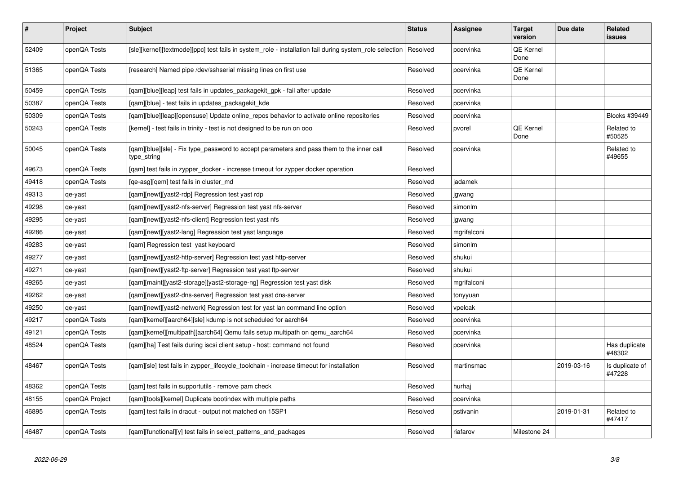| $\vert$ # | Project        | <b>Subject</b>                                                                                           | <b>Status</b> | Assignee    | <b>Target</b><br>version | Due date   | Related<br>issues         |
|-----------|----------------|----------------------------------------------------------------------------------------------------------|---------------|-------------|--------------------------|------------|---------------------------|
| 52409     | openQA Tests   | [sle][kernel][textmode][ppc] test fails in system role - installation fail during system role selection  | Resolved      | pcervinka   | <b>QE Kernel</b><br>Done |            |                           |
| 51365     | openQA Tests   | [research] Named pipe /dev/sshserial missing lines on first use                                          | Resolved      | pcervinka   | QE Kernel<br>Done        |            |                           |
| 50459     | openQA Tests   | [gam][blue][leap] test fails in updates packagekit gpk - fail after update                               | Resolved      | pcervinka   |                          |            |                           |
| 50387     | openQA Tests   | [qam][blue] - test fails in updates_packagekit_kde                                                       | Resolved      | pcervinka   |                          |            |                           |
| 50309     | openQA Tests   | [qam][blue][leap][opensuse] Update online_repos behavior to activate online repositories                 | Resolved      | pcervinka   |                          |            | <b>Blocks #39449</b>      |
| 50243     | openQA Tests   | [kernel] - test fails in trinity - test is not designed to be run on ooo                                 | Resolved      | pvorel      | QE Kernel<br>Done        |            | Related to<br>#50525      |
| 50045     | openQA Tests   | [qam][blue][sle] - Fix type_password to accept parameters and pass them to the inner call<br>type_string | Resolved      | pcervinka   |                          |            | Related to<br>#49655      |
| 49673     | openQA Tests   | [gam] test fails in zypper docker - increase timeout for zypper docker operation                         | Resolved      |             |                          |            |                           |
| 49418     | openQA Tests   | [qe-asg][qem] test fails in cluster_md                                                                   | Resolved      | jadamek     |                          |            |                           |
| 49313     | qe-yast        | [gam][newt][yast2-rdp] Regression test yast rdp                                                          | Resolved      | jgwang      |                          |            |                           |
| 49298     | qe-yast        | [qam][newt][yast2-nfs-server] Regression test yast nfs-server                                            | Resolved      | simonlm     |                          |            |                           |
| 49295     | qe-yast        | [qam][newt][yast2-nfs-client] Regression test yast nfs                                                   | Resolved      | jgwang      |                          |            |                           |
| 49286     | qe-yast        | [qam][newt][yast2-lang] Regression test yast language                                                    | Resolved      | mgrifalconi |                          |            |                           |
| 49283     | qe-yast        | [qam] Regression test yast keyboard                                                                      | Resolved      | simonlm     |                          |            |                           |
| 49277     | qe-yast        | [gam][newt][yast2-http-server] Regression test yast http-server                                          | Resolved      | shukui      |                          |            |                           |
| 49271     | qe-yast        | [qam][newt][yast2-ftp-server] Regression test yast ftp-server                                            | Resolved      | shukui      |                          |            |                           |
| 49265     | qe-yast        | [gam][maint][yast2-storage][yast2-storage-ng] Regression test yast disk                                  | Resolved      | mgrifalconi |                          |            |                           |
| 49262     | qe-yast        | [gam][newt][yast2-dns-server] Regression test yast dns-server                                            | Resolved      | tonyyuan    |                          |            |                           |
| 49250     | qe-yast        | [qam][newt][yast2-network] Regression test for yast lan command line option                              | Resolved      | vpelcak     |                          |            |                           |
| 49217     | openQA Tests   | [qam][kernel][aarch64][sle] kdump is not scheduled for aarch64                                           | Resolved      | pcervinka   |                          |            |                           |
| 49121     | openQA Tests   | [qam][kernel][multipath][aarch64] Qemu fails setup multipath on qemu_aarch64                             | Resolved      | pcervinka   |                          |            |                           |
| 48524     | openQA Tests   | [qam][ha] Test fails during iscsi client setup - host: command not found                                 | Resolved      | pcervinka   |                          |            | Has duplicate<br>#48302   |
| 48467     | openQA Tests   | [gam][sle] test fails in zypper lifecycle toolchain - increase timeout for installation                  | Resolved      | martinsmac  |                          | 2019-03-16 | Is duplicate of<br>#47228 |
| 48362     | openQA Tests   | [gam] test fails in supportutils - remove pam check                                                      | Resolved      | hurhaj      |                          |            |                           |
| 48155     | openQA Project | [qam][tools][kernel] Duplicate bootindex with multiple paths                                             | Resolved      | pcervinka   |                          |            |                           |
| 46895     | openQA Tests   | [qam] test fails in dracut - output not matched on 15SP1                                                 | Resolved      | pstivanin   |                          | 2019-01-31 | Related to<br>#47417      |
| 46487     | openQA Tests   | [gam][functional][y] test fails in select_patterns_and_packages                                          | Resolved      | riafarov    | Milestone 24             |            |                           |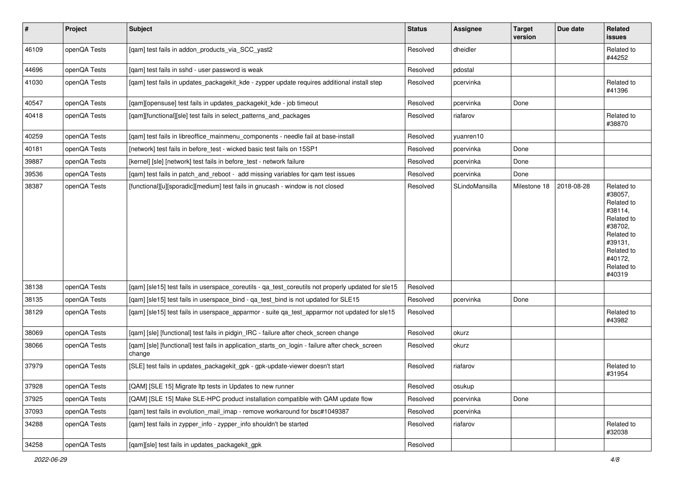| $\vert$ # | Project      | <b>Subject</b>                                                                                            | <b>Status</b> | <b>Assignee</b> | <b>Target</b><br>version | Due date   | Related<br>issues                                                                                                                                 |
|-----------|--------------|-----------------------------------------------------------------------------------------------------------|---------------|-----------------|--------------------------|------------|---------------------------------------------------------------------------------------------------------------------------------------------------|
| 46109     | openQA Tests | [qam] test fails in addon_products_via_SCC_yast2                                                          | Resolved      | dheidler        |                          |            | Related to<br>#44252                                                                                                                              |
| 44696     | openQA Tests | [qam] test fails in sshd - user password is weak                                                          | Resolved      | pdostal         |                          |            |                                                                                                                                                   |
| 41030     | openQA Tests | [qam] test fails in updates_packagekit_kde - zypper update requires additional install step               | Resolved      | pcervinka       |                          |            | Related to<br>#41396                                                                                                                              |
| 40547     | openQA Tests | [qam][opensuse] test fails in updates_packagekit_kde - job timeout                                        | Resolved      | pcervinka       | Done                     |            |                                                                                                                                                   |
| 40418     | openQA Tests | [qam][functional][sle] test fails in select_patterns_and_packages                                         | Resolved      | riafarov        |                          |            | Related to<br>#38870                                                                                                                              |
| 40259     | openQA Tests | [qam] test fails in libreoffice_mainmenu_components - needle fail at base-install                         | Resolved      | yuanren10       |                          |            |                                                                                                                                                   |
| 40181     | openQA Tests | [network] test fails in before_test - wicked basic test fails on 15SP1                                    | Resolved      | pcervinka       | Done                     |            |                                                                                                                                                   |
| 39887     | openQA Tests | [kernel] [sle] [network] test fails in before_test - network failure                                      | Resolved      | pcervinka       | Done                     |            |                                                                                                                                                   |
| 39536     | openQA Tests | [qam] test fails in patch_and_reboot - add missing variables for qam test issues                          | Resolved      | pcervinka       | Done                     |            |                                                                                                                                                   |
| 38387     | openQA Tests | [functional][u][sporadic][medium] test fails in gnucash - window is not closed                            | Resolved      | SLindoMansilla  | Milestone 18             | 2018-08-28 | Related to<br>#38057,<br>Related to<br>#38114,<br>Related to<br>#38702,<br>Related to<br>#39131,<br>Related to<br>#40172,<br>Related to<br>#40319 |
| 38138     | openQA Tests | [qam] [sle15] test fails in userspace_coreutils - qa_test_coreutils not properly updated for sle15        | Resolved      |                 |                          |            |                                                                                                                                                   |
| 38135     | openQA Tests | [qam] [sle15] test fails in userspace_bind - qa_test_bind is not updated for SLE15                        | Resolved      | pcervinka       | Done                     |            |                                                                                                                                                   |
| 38129     | openQA Tests | [qam] [sle15] test fails in userspace_apparmor - suite qa_test_apparmor not updated for sle15             | Resolved      |                 |                          |            | Related to<br>#43982                                                                                                                              |
| 38069     | openQA Tests | [gam] [sle] [functional] test fails in pidgin IRC - failure after check screen change                     | Resolved      | okurz           |                          |            |                                                                                                                                                   |
| 38066     | openQA Tests | [qam] [sle] [functional] test fails in application_starts_on_login - failure after check_screen<br>change | Resolved      | okurz           |                          |            |                                                                                                                                                   |
| 37979     | openQA Tests | [SLE] test fails in updates_packagekit_gpk - gpk-update-viewer doesn't start                              | Resolved      | riafarov        |                          |            | Related to<br>#31954                                                                                                                              |
| 37928     | openQA Tests | [QAM] [SLE 15] Migrate Itp tests in Updates to new runner                                                 | Resolved      | osukup          |                          |            |                                                                                                                                                   |
| 37925     | openQA Tests | [QAM] [SLE 15] Make SLE-HPC product installation compatible with QAM update flow                          | Resolved      | pcervinka       | Done                     |            |                                                                                                                                                   |
| 37093     | openQA Tests | [qam] test fails in evolution_mail_imap - remove workaround for bsc#1049387                               | Resolved      | pcervinka       |                          |            |                                                                                                                                                   |
| 34288     | openQA Tests | [qam] test fails in zypper_info - zypper_info shouldn't be started                                        | Resolved      | riafarov        |                          |            | Related to<br>#32038                                                                                                                              |
| 34258     | openQA Tests | [qam][sle] test fails in updates_packagekit_gpk                                                           | Resolved      |                 |                          |            |                                                                                                                                                   |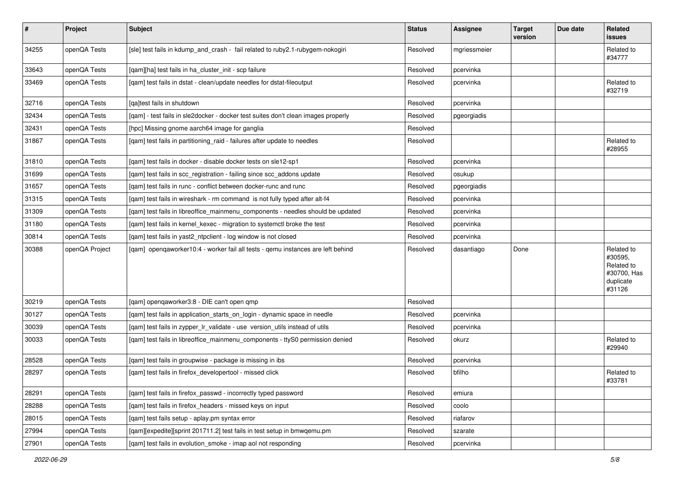| $\sharp$ | Project        | Subject                                                                           | <b>Status</b> | Assignee     | <b>Target</b><br>version | Due date | Related<br>issues                                                         |
|----------|----------------|-----------------------------------------------------------------------------------|---------------|--------------|--------------------------|----------|---------------------------------------------------------------------------|
| 34255    | openQA Tests   | [sle] test fails in kdump_and_crash - fail related to ruby2.1-rubygem-nokogiri    | Resolved      | mgriessmeier |                          |          | Related to<br>#34777                                                      |
| 33643    | openQA Tests   | [qam][ha] test fails in ha_cluster_init - scp failure                             | Resolved      | pcervinka    |                          |          |                                                                           |
| 33469    | openQA Tests   | [qam] test fails in dstat - clean/update needles for dstat-fileoutput             | Resolved      | pcervinka    |                          |          | Related to<br>#32719                                                      |
| 32716    | openQA Tests   | [qa]test fails in shutdown                                                        | Resolved      | pcervinka    |                          |          |                                                                           |
| 32434    | openQA Tests   | [qam] - test fails in sle2docker - docker test suites don't clean images properly | Resolved      | pgeorgiadis  |                          |          |                                                                           |
| 32431    | openQA Tests   | [hpc] Missing gnome aarch64 image for ganglia                                     | Resolved      |              |                          |          |                                                                           |
| 31867    | openQA Tests   | [qam] test fails in partitioning_raid - failures after update to needles          | Resolved      |              |                          |          | Related to<br>#28955                                                      |
| 31810    | openQA Tests   | [qam] test fails in docker - disable docker tests on sle12-sp1                    | Resolved      | pcervinka    |                          |          |                                                                           |
| 31699    | openQA Tests   | [qam] test fails in scc_registration - failing since scc_addons update            | Resolved      | osukup       |                          |          |                                                                           |
| 31657    | openQA Tests   | [qam] test fails in runc - conflict between docker-runc and runc                  | Resolved      | pgeorgiadis  |                          |          |                                                                           |
| 31315    | openQA Tests   | [qam] test fails in wireshark - rm command is not fully typed after alt-f4        | Resolved      | pcervinka    |                          |          |                                                                           |
| 31309    | openQA Tests   | [qam] test fails in libreoffice_mainmenu_components - needles should be updated   | Resolved      | pcervinka    |                          |          |                                                                           |
| 31180    | openQA Tests   | [qam] test fails in kernel_kexec - migration to systemctl broke the test          | Resolved      | pcervinka    |                          |          |                                                                           |
| 30814    | openQA Tests   | [qam] test fails in yast2_ntpclient - log window is not closed                    | Resolved      | pcervinka    |                          |          |                                                                           |
| 30388    | openQA Project | [gam] opengaworker10:4 - worker fail all tests - gemu instances are left behind   | Resolved      | dasantiago   | Done                     |          | Related to<br>#30595,<br>Related to<br>#30700, Has<br>duplicate<br>#31126 |
| 30219    | openQA Tests   | [gam] opengaworker3:8 - DIE can't open gmp                                        | Resolved      |              |                          |          |                                                                           |
| 30127    | openQA Tests   | [qam] test fails in application_starts_on_login - dynamic space in needle         | Resolved      | pcervinka    |                          |          |                                                                           |
| 30039    | openQA Tests   | [qam] test fails in zypper_lr_validate - use version_utils instead of utils       | Resolved      | pcervinka    |                          |          |                                                                           |
| 30033    | openQA Tests   | [qam] test fails in libreoffice_mainmenu_components - ttyS0 permission denied     | Resolved      | okurz        |                          |          | Related to<br>#29940                                                      |
| 28528    | openQA Tests   | [qam] test fails in groupwise - package is missing in ibs                         | Resolved      | pcervinka    |                          |          |                                                                           |
| 28297    | openQA Tests   | [qam] test fails in firefox developertool - missed click                          | Resolved      | bfilho       |                          |          | Related to<br>#33781                                                      |
| 28291    | openQA Tests   | [gam] test fails in firefox passwd - incorrectly typed password                   | Resolved      | emiura       |                          |          |                                                                           |
| 28288    | openQA Tests   | [qam] test fails in firefox_headers - missed keys on input                        | Resolved      | coolo        |                          |          |                                                                           |
| 28015    | openQA Tests   | [qam] test fails setup - aplay.pm syntax error                                    | Resolved      | riafarov     |                          |          |                                                                           |
| 27994    | openQA Tests   | [qam][expedite][sprint 201711.2] test fails in test setup in bmwqemu.pm           | Resolved      | szarate      |                          |          |                                                                           |
| 27901    | openQA Tests   | [qam] test fails in evolution_smoke - imap aol not responding                     | Resolved      | pcervinka    |                          |          |                                                                           |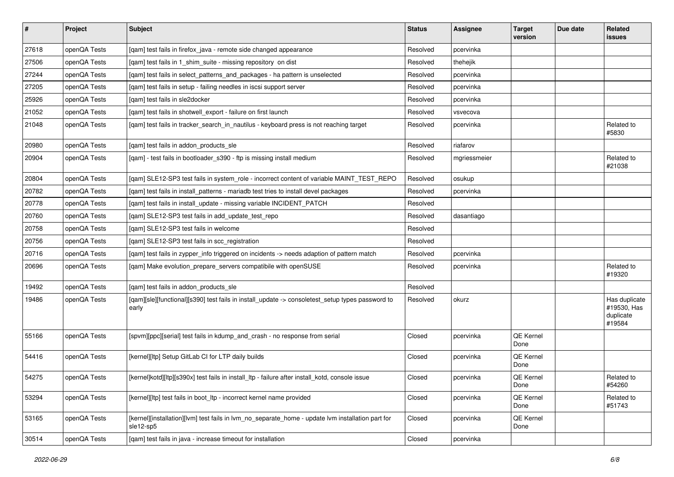| $\sharp$ | Project      | Subject                                                                                                        | <b>Status</b> | Assignee     | <b>Target</b><br>version | Due date | Related<br>issues                                   |
|----------|--------------|----------------------------------------------------------------------------------------------------------------|---------------|--------------|--------------------------|----------|-----------------------------------------------------|
| 27618    | openQA Tests | [qam] test fails in firefox_java - remote side changed appearance                                              | Resolved      | pcervinka    |                          |          |                                                     |
| 27506    | openQA Tests | [qam] test fails in 1_shim_suite - missing repository on dist                                                  | Resolved      | thehejik     |                          |          |                                                     |
| 27244    | openQA Tests | [qam] test fails in select_patterns_and_packages - ha pattern is unselected                                    | Resolved      | pcervinka    |                          |          |                                                     |
| 27205    | openQA Tests | [qam] test fails in setup - failing needles in iscsi support server                                            | Resolved      | pcervinka    |                          |          |                                                     |
| 25926    | openQA Tests | [gam] test fails in sle2docker                                                                                 | Resolved      | pcervinka    |                          |          |                                                     |
| 21052    | openQA Tests | [qam] test fails in shotwell_export - failure on first launch                                                  | Resolved      | vsvecova     |                          |          |                                                     |
| 21048    | openQA Tests | [qam] test fails in tracker_search_in_nautilus - keyboard press is not reaching target                         | Resolved      | pcervinka    |                          |          | Related to<br>#5830                                 |
| 20980    | openQA Tests | [qam] test fails in addon_products_sle                                                                         | Resolved      | riafarov     |                          |          |                                                     |
| 20904    | openQA Tests | [qam] - test fails in bootloader_s390 - ftp is missing install medium                                          | Resolved      | mgriessmeier |                          |          | Related to<br>#21038                                |
| 20804    | openQA Tests | [qam] SLE12-SP3 test fails in system_role - incorrect content of variable MAINT_TEST_REPO                      | Resolved      | osukup       |                          |          |                                                     |
| 20782    | openQA Tests | [gam] test fails in install patterns - mariadb test tries to install devel packages                            | Resolved      | pcervinka    |                          |          |                                                     |
| 20778    | openQA Tests | [qam] test fails in install_update - missing variable INCIDENT_PATCH                                           | Resolved      |              |                          |          |                                                     |
| 20760    | openQA Tests | [qam] SLE12-SP3 test fails in add_update_test_repo                                                             | Resolved      | dasantiago   |                          |          |                                                     |
| 20758    | openQA Tests | [qam] SLE12-SP3 test fails in welcome                                                                          | Resolved      |              |                          |          |                                                     |
| 20756    | openQA Tests | [qam] SLE12-SP3 test fails in scc_registration                                                                 | Resolved      |              |                          |          |                                                     |
| 20716    | openQA Tests | [gam] test fails in zypper info triggered on incidents -> needs adaption of pattern match                      | Resolved      | pcervinka    |                          |          |                                                     |
| 20696    | openQA Tests | [qam] Make evolution_prepare_servers compatibile with openSUSE                                                 | Resolved      | pcervinka    |                          |          | Related to<br>#19320                                |
| 19492    | openQA Tests | [qam] test fails in addon_products_sle                                                                         | Resolved      |              |                          |          |                                                     |
| 19486    | openQA Tests | [qam][sle][functional][s390] test fails in install_update -> consoletest_setup types password to<br>early      | Resolved      | okurz        |                          |          | Has duplicate<br>#19530, Has<br>duplicate<br>#19584 |
| 55166    | openQA Tests | [spvm][ppc][serial] test fails in kdump_and_crash - no response from serial                                    | Closed        | pcervinka    | QE Kernel<br>Done        |          |                                                     |
| 54416    | openQA Tests | [kernel][ltp] Setup GitLab CI for LTP daily builds                                                             | Closed        | pcervinka    | QE Kernel<br>Done        |          |                                                     |
| 54275    | openQA Tests | [kernel]kotd][ltp][s390x] test fails in install_ltp - failure after install_kotd, console issue                | Closed        | pcervinka    | QE Kernel<br>Done        |          | Related to<br>#54260                                |
| 53294    | openQA Tests | [kernel][ltp] test fails in boot ltp - incorrect kernel name provided                                          | Closed        | pcervinka    | QE Kernel<br>Done        |          | Related to<br>#51743                                |
| 53165    | openQA Tests | [kernel][installation][lvm] test fails in lvm no separate home - update lvm installation part for<br>sle12-sp5 | Closed        | pcervinka    | QE Kernel<br>Done        |          |                                                     |
| 30514    | openQA Tests | [gam] test fails in java - increase timeout for installation                                                   | Closed        | pcervinka    |                          |          |                                                     |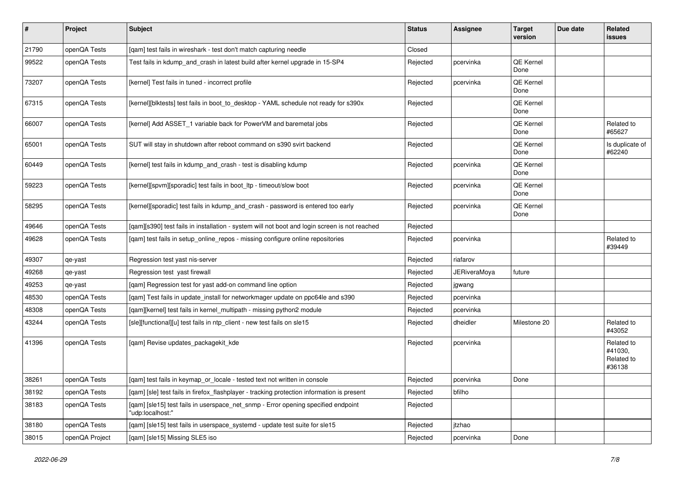| $\pmb{\#}$ | Project        | <b>Subject</b>                                                                                        | <b>Status</b> | Assignee            | <b>Target</b><br>version | Due date | Related<br>issues                             |
|------------|----------------|-------------------------------------------------------------------------------------------------------|---------------|---------------------|--------------------------|----------|-----------------------------------------------|
| 21790      | openQA Tests   | [qam] test fails in wireshark - test don't match capturing needle                                     | Closed        |                     |                          |          |                                               |
| 99522      | openQA Tests   | Test fails in kdump and crash in latest build after kernel upgrade in 15-SP4                          | Rejected      | pcervinka           | <b>QE Kernel</b><br>Done |          |                                               |
| 73207      | openQA Tests   | [kernel] Test fails in tuned - incorrect profile                                                      | Rejected      | pcervinka           | QE Kernel<br>Done        |          |                                               |
| 67315      | openQA Tests   | [kernel][blktests] test fails in boot_to_desktop - YAML schedule not ready for s390x                  | Rejected      |                     | <b>QE Kernel</b><br>Done |          |                                               |
| 66007      | openQA Tests   | [kernel] Add ASSET_1 variable back for PowerVM and baremetal jobs                                     | Rejected      |                     | QE Kernel<br>Done        |          | Related to<br>#65627                          |
| 65001      | openQA Tests   | SUT will stay in shutdown after reboot command on s390 svirt backend                                  | Rejected      |                     | QE Kernel<br>Done        |          | Is duplicate of<br>#62240                     |
| 60449      | openQA Tests   | [kernel] test fails in kdump_and_crash - test is disabling kdump                                      | Rejected      | pcervinka           | QE Kernel<br>Done        |          |                                               |
| 59223      | openQA Tests   | [kernel][spvm][sporadic] test fails in boot_ltp - timeout/slow boot                                   | Rejected      | pcervinka           | <b>QE Kernel</b><br>Done |          |                                               |
| 58295      | openQA Tests   | [kernel][sporadic] test fails in kdump_and_crash - password is entered too early                      | Rejected      | pcervinka           | <b>QE Kernel</b><br>Done |          |                                               |
| 49646      | openQA Tests   | [qam][s390] test fails in installation - system will not boot and login screen is not reached         | Rejected      |                     |                          |          |                                               |
| 49628      | openQA Tests   | [qam] test fails in setup_online_repos - missing configure online repositories                        | Rejected      | pcervinka           |                          |          | Related to<br>#39449                          |
| 49307      | qe-yast        | Regression test yast nis-server                                                                       | Rejected      | riafarov            |                          |          |                                               |
| 49268      | qe-yast        | Regression test yast firewall                                                                         | Rejected      | <b>JERiveraMoya</b> | future                   |          |                                               |
| 49253      | qe-yast        | [qam] Regression test for yast add-on command line option                                             | Rejected      | jgwang              |                          |          |                                               |
| 48530      | openQA Tests   | [qam] Test fails in update_install for networkmager update on ppc64le and s390                        | Rejected      | pcervinka           |                          |          |                                               |
| 48308      | openQA Tests   | [qam][kernel] test fails in kernel_multipath - missing python2 module                                 | Rejected      | pcervinka           |                          |          |                                               |
| 43244      | openQA Tests   | [sle][functional][u] test fails in ntp_client - new test fails on sle15                               | Rejected      | dheidler            | Milestone 20             |          | Related to<br>#43052                          |
| 41396      | openQA Tests   | [qam] Revise updates_packagekit_kde                                                                   | Rejected      | pcervinka           |                          |          | Related to<br>#41030,<br>Related to<br>#36138 |
| 38261      | openQA Tests   | [qam] test fails in keymap_or_locale - tested text not written in console                             | Rejected      | pcervinka           | Done                     |          |                                               |
| 38192      | openQA Tests   | [qam] [sle] test fails in firefox_flashplayer - tracking protection information is present            | Rejected      | bfilho              |                          |          |                                               |
| 38183      | openQA Tests   | [gam] [sle15] test fails in userspace net snmp - Error opening specified endpoint<br>"udp:localhost:" | Rejected      |                     |                          |          |                                               |
| 38180      | openQA Tests   | [qam] [sle15] test fails in userspace_systemd - update test suite for sle15                           | Rejected      | jtzhao              |                          |          |                                               |
| 38015      | openQA Project | [qam] [sle15] Missing SLE5 iso                                                                        | Rejected      | pcervinka           | Done                     |          |                                               |